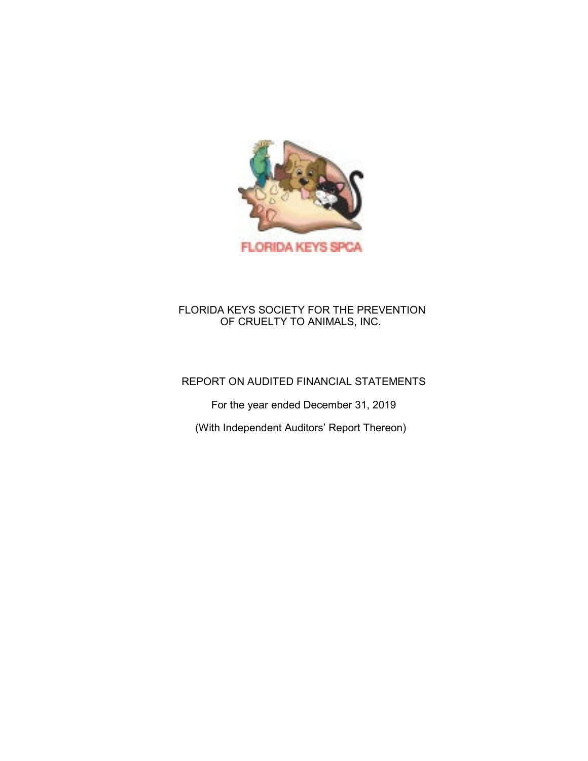

# FLORIDA KEYS SOCIETY FOR THE PREVENTION OF CRUELTY TO ANIMALS, INC.

# REPORT ON AUDITED FINANCIAL STATEMENTS

For the year ended December 31, 2019

(With Independent Auditors' Report Thereon)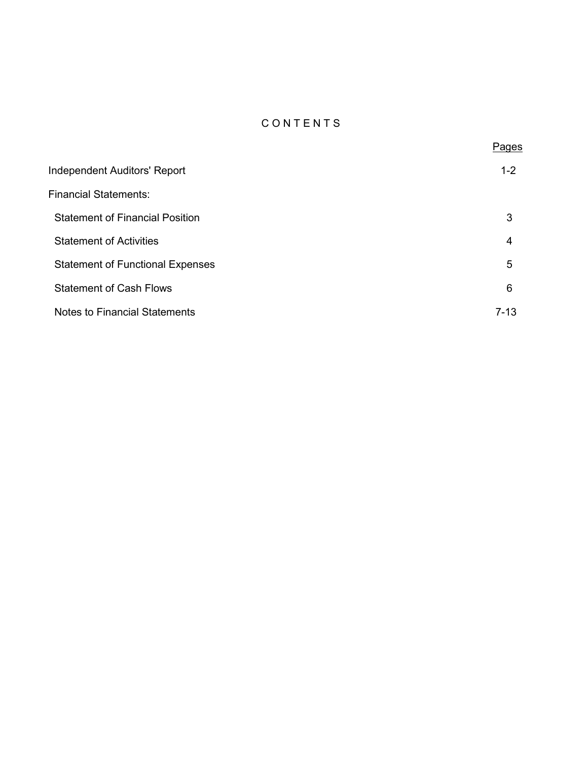# C O N T E N T S

<u>Pages in the contract of the contract of the contract of the contract of the contract of the contract of the con</u>

| <b>Independent Auditors' Report</b>     | $1 - 2$ |
|-----------------------------------------|---------|
| <b>Financial Statements:</b>            |         |
| <b>Statement of Financial Position</b>  | 3       |
| <b>Statement of Activities</b>          | 4       |
| <b>Statement of Functional Expenses</b> | 5       |
| <b>Statement of Cash Flows</b>          | 6       |
| Notes to Financial Statements           | $7-13$  |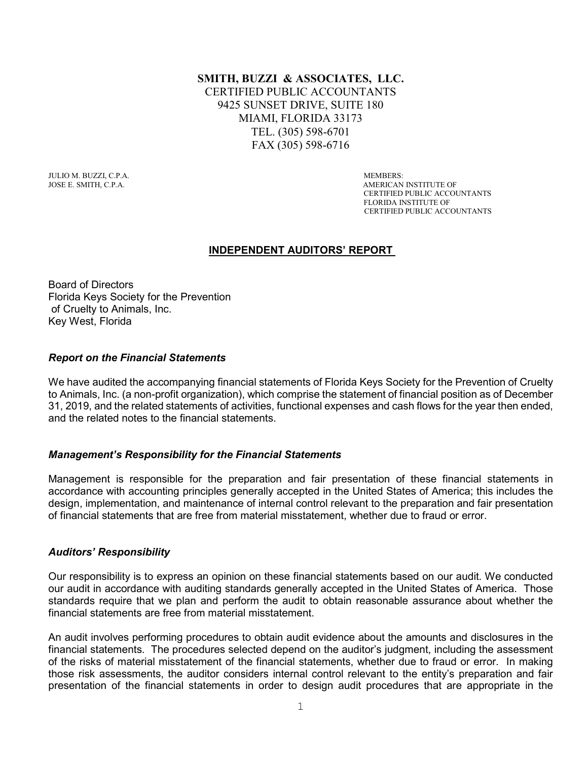**SMITH, BUZZI & ASSOCIATES, LLC.** CERTIFIED PUBLIC ACCOUNTANTS 9425 SUNSET DRIVE, SUITE 180 MIAMI, FLORIDA 33173 TEL. (305) 598-6701 FAX (305) 598-6716

JULIO M. BUZZI, C.P.A. MEMBERS: JOSE E. SMITH, C.P.A. MEMBERS: AMERICAN

AMERICAN INSTITUTE OF CERTIFIED PUBLIC ACCOUNTANTS FLORIDA INSTITUTE OF CERTIFIED PUBLIC ACCOUNTANTS

## **INDEPENDENT AUDITORS' REPORT**

Board of Directors Florida Keys Society for the Prevention of Cruelty to Animals, Inc. Key West, Florida

## *Report on the Financial Statements*

We have audited the accompanying financial statements of Florida Keys Society for the Prevention of Cruelty to Animals, Inc. (a non-profit organization), which comprise the statement of financial position as of December 31, 2019, and the related statements of activities, functional expenses and cash flows for the year then ended, and the related notes to the financial statements.

## *Management's Responsibility for the Financial Statements*

Management is responsible for the preparation and fair presentation of these financial statements in accordance with accounting principles generally accepted in the United States of America; this includes the design, implementation, and maintenance of internal control relevant to the preparation and fair presentation of financial statements that are free from material misstatement, whether due to fraud or error.

#### *Auditors' Responsibility*

Our responsibility is to express an opinion on these financial statements based on our audit. We conducted our audit in accordance with auditing standards generally accepted in the United States of America. Those standards require that we plan and perform the audit to obtain reasonable assurance about whether the financial statements are free from material misstatement.

An audit involves performing procedures to obtain audit evidence about the amounts and disclosures in the financial statements. The procedures selected depend on the auditor's judgment, including the assessment of the risks of material misstatement of the financial statements, whether due to fraud or error. In making those risk assessments, the auditor considers internal control relevant to the entity's preparation and fair presentation of the financial statements in order to design audit procedures that are appropriate in the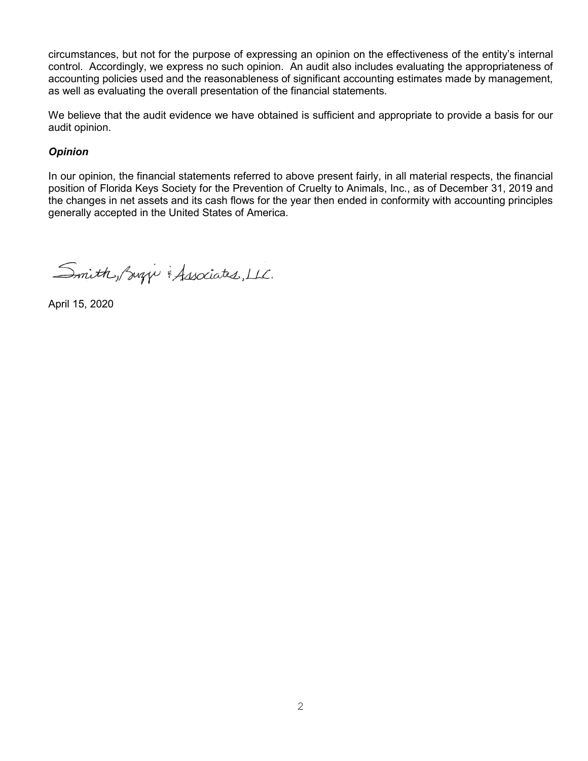circumstances, but not for the purpose of expressing an opinion on the effectiveness of the entity's internal control. Accordingly, we express no such opinion. An audit also includes evaluating the appropriateness of accounting policies used and the reasonableness of significant accounting estimates made by management, as well as evaluating the overall presentation of the financial statements.

We believe that the audit evidence we have obtained is sufficient and appropriate to provide a basis for our audit opinion.

## *Opinion*

In our opinion, the financial statements referred to above present fairly, in all material respects, the financial position of Florida Keys Society for the Prevention of Cruelty to Animals, Inc., as of December 31, 2019 and the changes in net assets and its cash flows for the year then ended in conformity with accounting principles generally accepted in the United States of America.

Smith, Suzzi & Associates, LLC.

April 15, 2020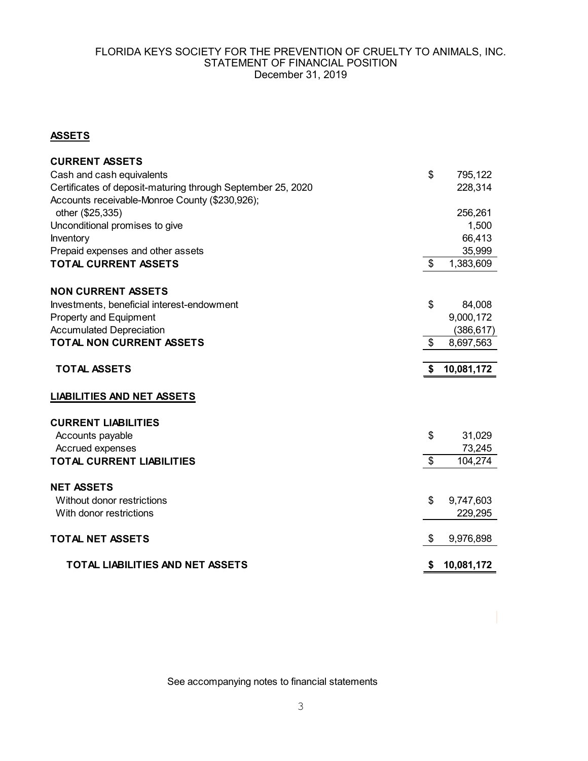#### FLORIDA KEYS SOCIETY FOR THE PREVENTION OF CRUELTY TO ANIMALS, INC. STATEMENT OF FINANCIAL POSITION December 31, 2019

## **ASSETS**

| <b>CURRENT ASSETS</b>                                       |                         |            |
|-------------------------------------------------------------|-------------------------|------------|
| Cash and cash equivalents                                   | \$                      | 795,122    |
| Certificates of deposit-maturing through September 25, 2020 |                         | 228,314    |
| Accounts receivable-Monroe County (\$230,926);              |                         |            |
| other (\$25,335)                                            |                         | 256,261    |
| Unconditional promises to give                              |                         | 1,500      |
| Inventory                                                   |                         | 66,413     |
| Prepaid expenses and other assets                           |                         | 35,999     |
| <b>TOTAL CURRENT ASSETS</b>                                 | $\sqrt[6]{\frac{1}{2}}$ | 1,383,609  |
| <b>NON CURRENT ASSETS</b>                                   |                         |            |
| Investments, beneficial interest-endowment                  | \$                      | 84,008     |
| <b>Property and Equipment</b>                               |                         | 9,000,172  |
| <b>Accumulated Depreciation</b>                             |                         | (386, 617) |
| TOTAL NON CURRENT ASSETS                                    | $\$\$                   | 8,697,563  |
| <b>TOTAL ASSETS</b>                                         | \$                      | 10,081,172 |
|                                                             |                         |            |
| <b>LIABILITIES AND NET ASSETS</b>                           |                         |            |
|                                                             |                         |            |
| <b>CURRENT LIABILITIES</b>                                  |                         |            |
| Accounts payable                                            | \$                      | 31,029     |
| Accrued expenses                                            |                         | 73,245     |
| <b>TOTAL CURRENT LIABILITIES</b>                            | $\frac{1}{2}$           | 104,274    |
| <b>NET ASSETS</b>                                           |                         |            |
| Without donor restrictions                                  | \$                      | 9,747,603  |
| With donor restrictions                                     |                         | 229,295    |
| <b>TOTAL NET ASSETS</b>                                     | \$                      | 9,976,898  |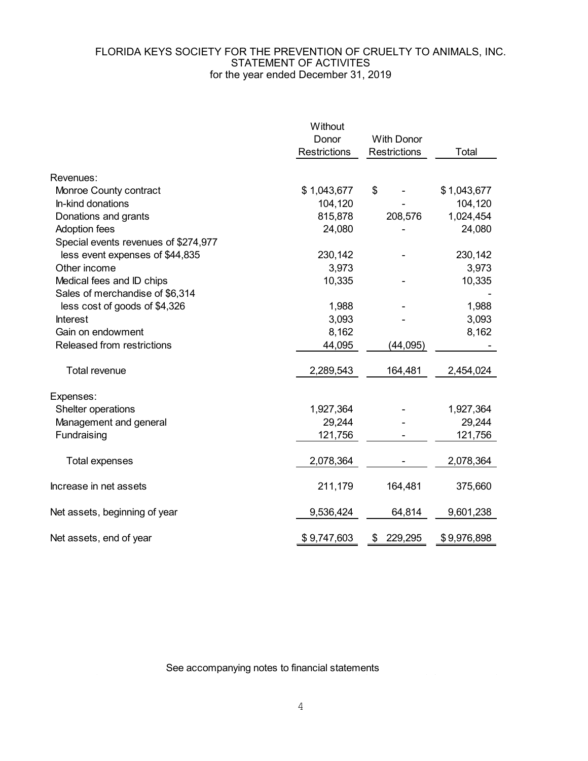## FLORIDA KEYS SOCIETY FOR THE PREVENTION OF CRUELTY TO ANIMALS, INC. STATEMENT OF ACTIVITES for the year ended December 31, 2019

|                                      | Without<br>Donor    | <b>With Donor</b>   |             |
|--------------------------------------|---------------------|---------------------|-------------|
|                                      | <b>Restrictions</b> | <b>Restrictions</b> | Total       |
| Revenues:                            |                     |                     |             |
| Monroe County contract               | \$1,043,677         | \$                  | \$1,043,677 |
| In-kind donations                    | 104,120             |                     | 104,120     |
| Donations and grants                 | 815,878             | 208,576             | 1,024,454   |
| Adoption fees                        | 24,080              |                     | 24,080      |
| Special events revenues of \$274,977 |                     |                     |             |
| less event expenses of \$44,835      | 230,142             |                     | 230,142     |
| Other income                         | 3,973               |                     | 3,973       |
| Medical fees and ID chips            | 10,335              |                     | 10,335      |
| Sales of merchandise of \$6,314      |                     |                     |             |
| less cost of goods of \$4,326        | 1,988               |                     | 1,988       |
| <b>Interest</b>                      | 3,093               |                     | 3,093       |
| Gain on endowment                    | 8,162               |                     | 8,162       |
| Released from restrictions           | 44,095              | (44, 095)           |             |
| Total revenue                        | 2,289,543           | 164,481             | 2,454,024   |
| Expenses:                            |                     |                     |             |
| Shelter operations                   | 1,927,364           |                     | 1,927,364   |
| Management and general               | 29,244              |                     | 29,244      |
| Fundraising                          | 121,756             |                     | 121,756     |
| <b>Total expenses</b>                | 2,078,364           |                     | 2,078,364   |
| Increase in net assets               | 211,179             | 164,481             | 375,660     |
| Net assets, beginning of year        | 9,536,424           | 64,814              | 9,601,238   |
| Net assets, end of year              | \$9,747,603         | 229,295<br>\$       | \$9,976,898 |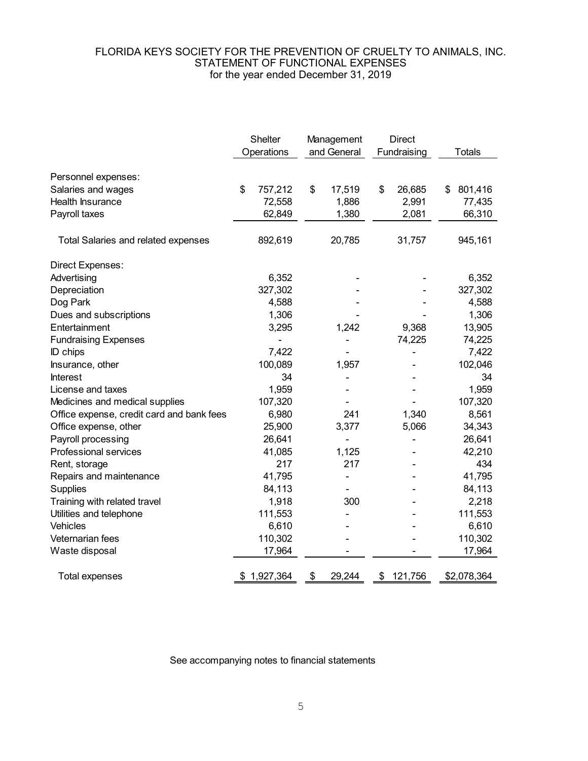#### FLORIDA KEYS SOCIETY FOR THE PREVENTION OF CRUELTY TO ANIMALS, INC. STATEMENT OF FUNCTIONAL EXPENSES for the year ended December 31, 2019

|                                            | <b>Shelter</b>  | Management   | <b>Direct</b> |               |
|--------------------------------------------|-----------------|--------------|---------------|---------------|
|                                            | Operations      | and General  | Fundraising   | <b>Totals</b> |
| Personnel expenses:                        |                 |              |               |               |
| Salaries and wages                         | \$<br>757,212   | \$<br>17,519 | \$<br>26,685  | \$<br>801,416 |
| Health Insurance                           | 72,558          | 1,886        | 2,991         | 77,435        |
| Payroll taxes                              | 62,849          | 1,380        | 2,081         | 66,310        |
| <b>Total Salaries and related expenses</b> | 892,619         | 20,785       | 31,757        | 945,161       |
| Direct Expenses:                           |                 |              |               |               |
| Advertising                                | 6,352           |              |               | 6,352         |
| Depreciation                               | 327,302         |              |               | 327,302       |
| Dog Park                                   | 4,588           |              |               | 4,588         |
| Dues and subscriptions                     | 1,306           |              |               | 1,306         |
| Entertainment                              | 3,295           | 1,242        | 9,368         | 13,905        |
| <b>Fundraising Expenses</b>                |                 |              | 74,225        | 74,225        |
| <b>ID</b> chips                            | 7,422           |              | -             | 7,422         |
| Insurance, other                           | 100,089         | 1,957        |               | 102,046       |
| <b>Interest</b>                            | 34              |              |               | 34            |
| License and taxes                          | 1,959           |              |               | 1,959         |
| Medicines and medical supplies             | 107,320         |              |               | 107,320       |
| Office expense, credit card and bank fees  | 6,980           | 241          | 1,340         | 8,561         |
| Office expense, other                      | 25,900          | 3,377        | 5,066         | 34,343        |
| Payroll processing                         | 26,641          |              |               | 26,641        |
| Professional services                      | 41,085          | 1,125        |               | 42,210        |
| Rent, storage                              | 217             | 217          |               | 434           |
| Repairs and maintenance                    | 41,795          |              |               | 41,795        |
| Supplies                                   | 84,113          |              |               | 84,113        |
| Training with related travel               | 1,918           | 300          |               | 2,218         |
| Utilities and telephone                    | 111,553         |              |               | 111,553       |
| <b>Vehicles</b>                            | 6,610           |              |               | 6,610         |
| Veternarian fees                           | 110,302         |              |               | 110,302       |
| Waste disposal                             | 17,964          |              |               | 17,964        |
| <b>Total expenses</b>                      | \$<br>1,927,364 | \$<br>29,244 | \$<br>121,756 | \$2,078,364   |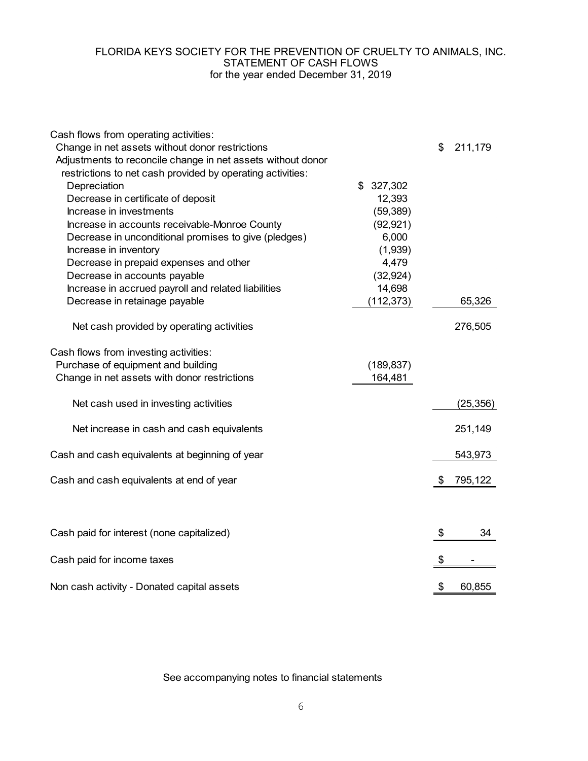## FLORIDA KEYS SOCIETY FOR THE PREVENTION OF CRUELTY TO ANIMALS, INC. STATEMENT OF CASH FLOWS for the year ended December 31, 2019

| Cash flows from operating activities:                       |               |    |           |
|-------------------------------------------------------------|---------------|----|-----------|
| Change in net assets without donor restrictions             |               | \$ | 211,179   |
| Adjustments to reconcile change in net assets without donor |               |    |           |
| restrictions to net cash provided by operating activities:  |               |    |           |
| Depreciation                                                | \$<br>327,302 |    |           |
| Decrease in certificate of deposit                          | 12,393        |    |           |
| Increase in investments                                     | (59, 389)     |    |           |
| Increase in accounts receivable-Monroe County               | (92, 921)     |    |           |
| Decrease in unconditional promises to give (pledges)        | 6,000         |    |           |
| Increase in inventory                                       | (1,939)       |    |           |
| Decrease in prepaid expenses and other                      | 4,479         |    |           |
| Decrease in accounts payable                                | (32, 924)     |    |           |
| Increase in accrued payroll and related liabilities         | 14,698        |    |           |
| Decrease in retainage payable                               | (112, 373)    |    | 65,326    |
| Net cash provided by operating activities                   |               |    | 276,505   |
| Cash flows from investing activities:                       |               |    |           |
| Purchase of equipment and building                          | (189, 837)    |    |           |
| Change in net assets with donor restrictions                | 164,481       |    |           |
| Net cash used in investing activities                       |               |    | (25, 356) |
| Net increase in cash and cash equivalents                   |               |    | 251,149   |
| Cash and cash equivalents at beginning of year              |               |    | 543,973   |
|                                                             |               | S. | 795,122   |
| Cash and cash equivalents at end of year                    |               |    |           |
| Cash paid for interest (none capitalized)                   |               | \$ | 34        |
|                                                             |               |    |           |
| Cash paid for income taxes                                  |               | \$ |           |
| Non cash activity - Donated capital assets                  |               | \$ | 60,855    |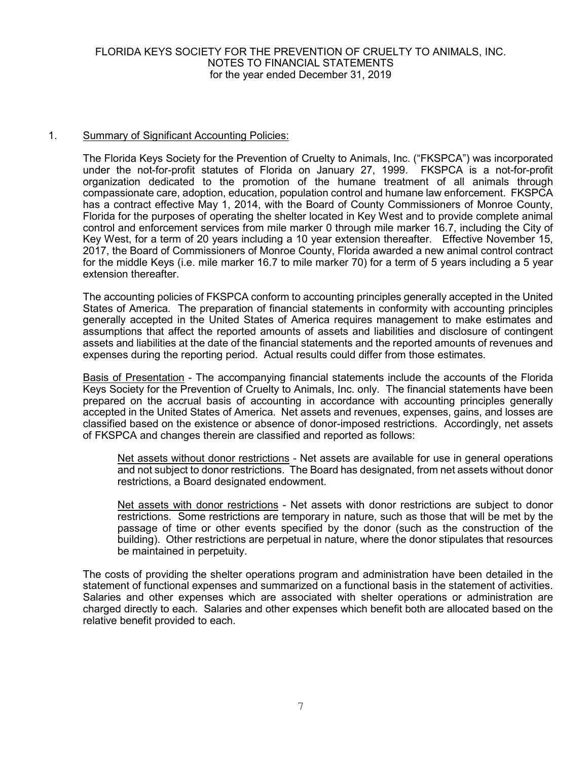## 1. Summary of Significant Accounting Policies:

The Florida Keys Society for the Prevention of Cruelty to Animals, Inc. ("FKSPCA") was incorporated under the not-for-profit statutes of Florida on January 27, 1999. FKSPCA is a not-for-profit organization dedicated to the promotion of the humane treatment of all animals through compassionate care, adoption, education, population control and humane law enforcement. FKSPCA has a contract effective May 1, 2014, with the Board of County Commissioners of Monroe County, Florida for the purposes of operating the shelter located in Key West and to provide complete animal control and enforcement services from mile marker 0 through mile marker 16.7, including the City of Key West, for a term of 20 years including a 10 year extension thereafter. Effective November 15, 2017, the Board of Commissioners of Monroe County, Florida awarded a new animal control contract for the middle Keys (i.e. mile marker 16.7 to mile marker 70) for a term of 5 years including a 5 year extension thereafter.

The accounting policies of FKSPCA conform to accounting principles generally accepted in the United States of America. The preparation of financial statements in conformity with accounting principles generally accepted in the United States of America requires management to make estimates and assumptions that affect the reported amounts of assets and liabilities and disclosure of contingent assets and liabilities at the date of the financial statements and the reported amounts of revenues and expenses during the reporting period. Actual results could differ from those estimates.

 Basis of Presentation - The accompanying financial statements include the accounts of the Florida Keys Society for the Prevention of Cruelty to Animals, Inc. only. The financial statements have been prepared on the accrual basis of accounting in accordance with accounting principles generally accepted in the United States of America. Net assets and revenues, expenses, gains, and losses are classified based on the existence or absence of donor-imposed restrictions. Accordingly, net assets of FKSPCA and changes therein are classified and reported as follows:

 Net assets without donor restrictions - Net assets are available for use in general operations and not subject to donor restrictions. The Board has designated, from net assets without donor restrictions, a Board designated endowment.

 Net assets with donor restrictions - Net assets with donor restrictions are subject to donor restrictions. Some restrictions are temporary in nature, such as those that will be met by the passage of time or other events specified by the donor (such as the construction of the building). Other restrictions are perpetual in nature, where the donor stipulates that resources be maintained in perpetuity.

 The costs of providing the shelter operations program and administration have been detailed in the statement of functional expenses and summarized on a functional basis in the statement of activities. Salaries and other expenses which are associated with shelter operations or administration are charged directly to each. Salaries and other expenses which benefit both are allocated based on the relative benefit provided to each.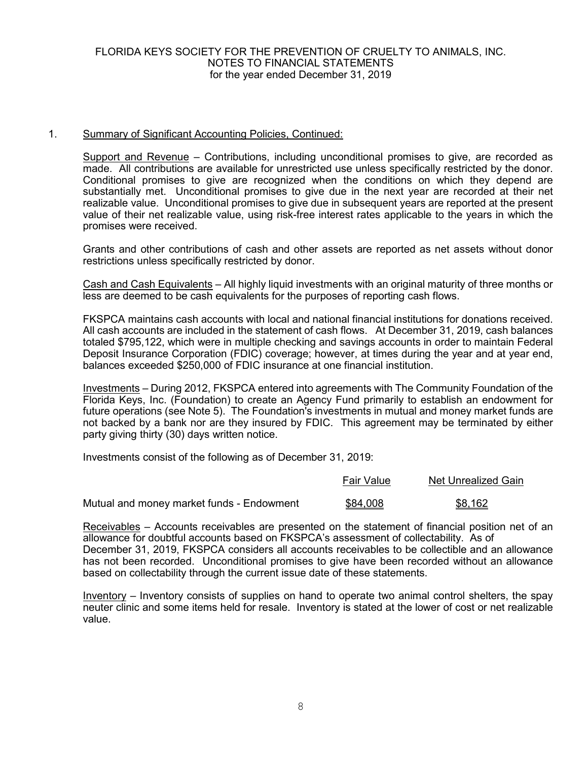## 1. Summary of Significant Accounting Policies, Continued:

Support and Revenue – Contributions, including unconditional promises to give, are recorded as made. All contributions are available for unrestricted use unless specifically restricted by the donor. Conditional promises to give are recognized when the conditions on which they depend are substantially met. Unconditional promises to give due in the next year are recorded at their net realizable value. Unconditional promises to give due in subsequent years are reported at the present value of their net realizable value, using risk-free interest rates applicable to the years in which the promises were received.

 Grants and other contributions of cash and other assets are reported as net assets without donor restrictions unless specifically restricted by donor.

 Cash and Cash Equivalents – All highly liquid investments with an original maturity of three months or less are deemed to be cash equivalents for the purposes of reporting cash flows.

FKSPCA maintains cash accounts with local and national financial institutions for donations received. All cash accounts are included in the statement of cash flows. At December 31, 2019, cash balances totaled \$795,122, which were in multiple checking and savings accounts in order to maintain Federal Deposit Insurance Corporation (FDIC) coverage; however, at times during the year and at year end, balances exceeded \$250,000 of FDIC insurance at one financial institution.

Investments – During 2012, FKSPCA entered into agreements with The Community Foundation of the Florida Keys, Inc. (Foundation) to create an Agency Fund primarily to establish an endowment for future operations (see Note 5). The Foundation's investments in mutual and money market funds are not backed by a bank nor are they insured by FDIC. This agreement may be terminated by either party giving thirty (30) days written notice.

Investments consist of the following as of December 31, 2019:

|                                           | <b>Fair Value</b> | Net Unrealized Gain |
|-------------------------------------------|-------------------|---------------------|
| Mutual and money market funds - Endowment | \$84,008          | \$8,162             |

Receivables – Accounts receivables are presented on the statement of financial position net of an allowance for doubtful accounts based on FKSPCA's assessment of collectability. As of December 31, 2019, FKSPCA considers all accounts receivables to be collectible and an allowance has not been recorded. Unconditional promises to give have been recorded without an allowance based on collectability through the current issue date of these statements.

 Inventory – Inventory consists of supplies on hand to operate two animal control shelters, the spay neuter clinic and some items held for resale. Inventory is stated at the lower of cost or net realizable value.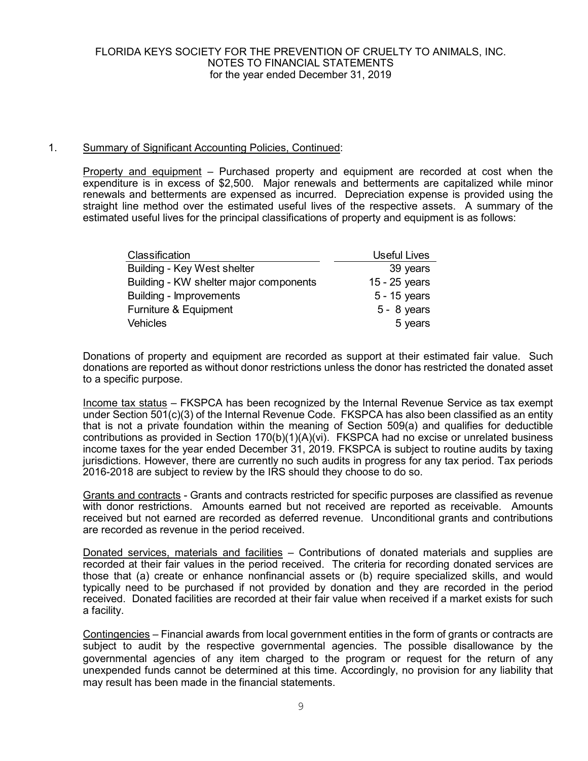## 1. Summary of Significant Accounting Policies, Continued:

 Property and equipment – Purchased property and equipment are recorded at cost when the expenditure is in excess of \$2,500. Major renewals and betterments are capitalized while minor renewals and betterments are expensed as incurred. Depreciation expense is provided using the straight line method over the estimated useful lives of the respective assets. A summary of the estimated useful lives for the principal classifications of property and equipment is as follows:

| Classification                         | <b>Useful Lives</b> |
|----------------------------------------|---------------------|
| Building - Key West shelter            | 39 years            |
| Building - KW shelter major components | 15 - 25 years       |
| <b>Building - Improvements</b>         | $5 - 15$ years      |
| Furniture & Equipment                  | $5 - 8$ years       |
| <b>Vehicles</b>                        | 5 years             |

 Donations of property and equipment are recorded as support at their estimated fair value. Such donations are reported as without donor restrictions unless the donor has restricted the donated asset to a specific purpose.

 Income tax status – FKSPCA has been recognized by the Internal Revenue Service as tax exempt under Section 501(c)(3) of the Internal Revenue Code. FKSPCA has also been classified as an entity that is not a private foundation within the meaning of Section 509(a) and qualifies for deductible contributions as provided in Section 170(b)(1)(A)(vi). FKSPCA had no excise or unrelated business income taxes for the year ended December 31, 2019. FKSPCA is subject to routine audits by taxing jurisdictions. However, there are currently no such audits in progress for any tax period. Tax periods 2016-2018 are subject to review by the IRS should they choose to do so.

 Grants and contracts - Grants and contracts restricted for specific purposes are classified as revenue with donor restrictions. Amounts earned but not received are reported as receivable. Amounts received but not earned are recorded as deferred revenue. Unconditional grants and contributions are recorded as revenue in the period received.

 Donated services, materials and facilities – Contributions of donated materials and supplies are recorded at their fair values in the period received. The criteria for recording donated services are those that (a) create or enhance nonfinancial assets or (b) require specialized skills, and would typically need to be purchased if not provided by donation and they are recorded in the period received. Donated facilities are recorded at their fair value when received if a market exists for such a facility.

Contingencies – Financial awards from local government entities in the form of grants or contracts are subject to audit by the respective governmental agencies. The possible disallowance by the governmental agencies of any item charged to the program or request for the return of any unexpended funds cannot be determined at this time. Accordingly, no provision for any liability that may result has been made in the financial statements.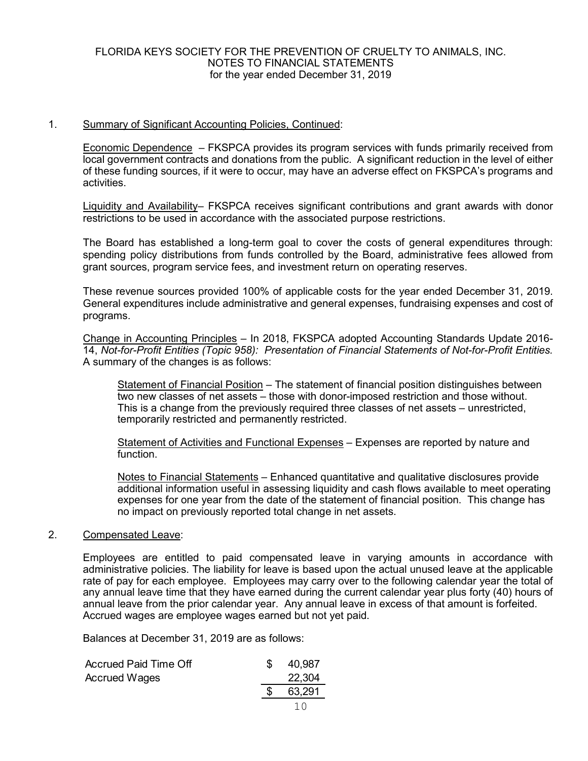## 1. Summary of Significant Accounting Policies, Continued:

Economic Dependence – FKSPCA provides its program services with funds primarily received from local government contracts and donations from the public. A significant reduction in the level of either of these funding sources, if it were to occur, may have an adverse effect on FKSPCA's programs and activities.

Liquidity and Availability– FKSPCA receives significant contributions and grant awards with donor restrictions to be used in accordance with the associated purpose restrictions.

The Board has established a long-term goal to cover the costs of general expenditures through: spending policy distributions from funds controlled by the Board, administrative fees allowed from grant sources, program service fees, and investment return on operating reserves.

These revenue sources provided 100% of applicable costs for the year ended December 31, 2019. General expenditures include administrative and general expenses, fundraising expenses and cost of programs.

 Change in Accounting Principles – In 2018, FKSPCA adopted Accounting Standards Update 2016- 14, *Not-for-Profit Entities (Topic 958): Presentation of Financial Statements of Not-for-Profit Entities.* A summary of the changes is as follows:

Statement of Financial Position – The statement of financial position distinguishes between two new classes of net assets – those with donor-imposed restriction and those without. This is a change from the previously required three classes of net assets – unrestricted, temporarily restricted and permanently restricted.

 Statement of Activities and Functional Expenses – Expenses are reported by nature and function.

Notes to Financial Statements - Enhanced quantitative and qualitative disclosures provide additional information useful in assessing liquidity and cash flows available to meet operating expenses for one year from the date of the statement of financial position. This change has no impact on previously reported total change in net assets.

## 2. Compensated Leave:

 Employees are entitled to paid compensated leave in varying amounts in accordance with administrative policies. The liability for leave is based upon the actual unused leave at the applicable rate of pay for each employee. Employees may carry over to the following calendar year the total of any annual leave time that they have earned during the current calendar year plus forty (40) hours of annual leave from the prior calendar year. Any annual leave in excess of that amount is forfeited. Accrued wages are employee wages earned but not yet paid.

Balances at December 31, 2019 are as follows:

| <b>Accrued Paid Time Off</b> | 40,987 |
|------------------------------|--------|
| <b>Accrued Wages</b>         | 22,304 |
|                              | 63,291 |
|                              |        |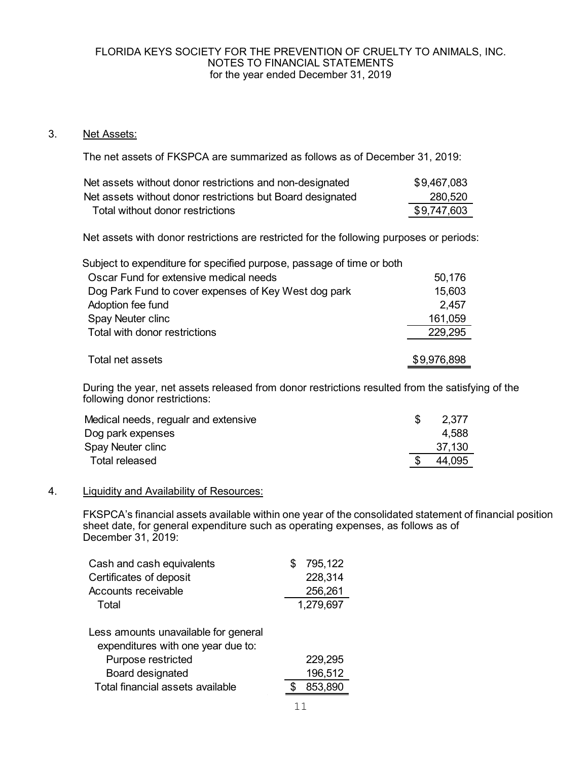## 3. Net Assets:

The net assets of FKSPCA are summarized as follows as of December 31, 2019:

| Net assets without donor restrictions and non-designated   | \$9,467,083 |
|------------------------------------------------------------|-------------|
| Net assets without donor restrictions but Board designated | 280,520     |
| Total without donor restrictions                           | \$9,747,603 |

Net assets with donor restrictions are restricted for the following purposes or periods:

| Subject to expenditure for specified purpose, passage of time or both |             |
|-----------------------------------------------------------------------|-------------|
| Oscar Fund for extensive medical needs                                | 50,176      |
| Dog Park Fund to cover expenses of Key West dog park                  | 15,603      |
| Adoption fee fund                                                     | 2,457       |
| Spay Neuter clinc                                                     | 161,059     |
| Total with donor restrictions                                         | 229,295     |
|                                                                       |             |
| Total net assets                                                      | \$9,976,898 |

 During the year, net assets released from donor restrictions resulted from the satisfying of the following donor restrictions:

| Medical needs, regualr and extensive | 2.377  |
|--------------------------------------|--------|
| Dog park expenses                    | 4.588  |
| Spay Neuter clinc                    | 37.130 |
| Total released                       | 44,095 |

## 4. Liquidity and Availability of Resources:

 FKSPCA's financial assets available within one year of the consolidated statement of financial position sheet date, for general expenditure such as operating expenses, as follows as of December 31, 2019:

| Cash and cash equivalents | \$795,122 |
|---------------------------|-----------|
| Certificates of deposit   | 228,314   |
| Accounts receivable       | 256,261   |
| Total                     | 1,279,697 |

Less amounts unavailable for general

| 229,295 |
|---------|
| 196,512 |
| 853,890 |
|         |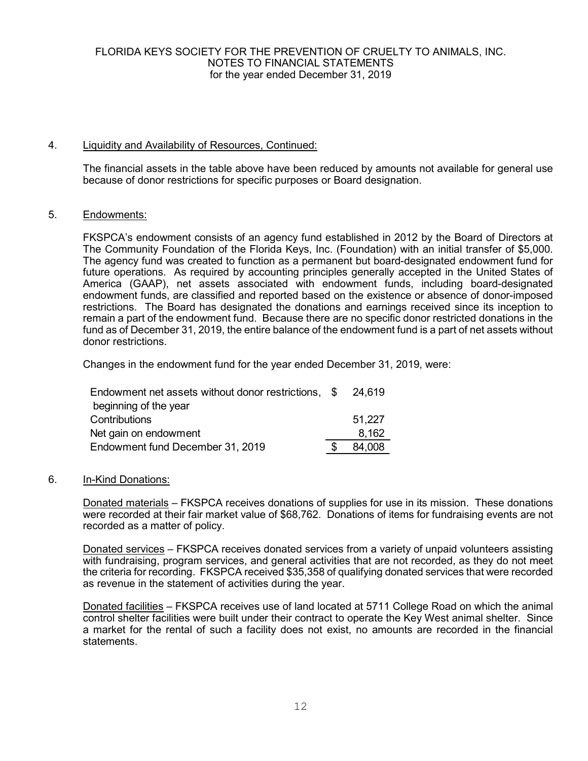## 4. Liquidity and Availability of Resources, Continued:

 The financial assets in the table above have been reduced by amounts not available for general use because of donor restrictions for specific purposes or Board designation.

## 5. Endowments:

 FKSPCA's endowment consists of an agency fund established in 2012 by the Board of Directors at The Community Foundation of the Florida Keys, Inc. (Foundation) with an initial transfer of \$5,000. The agency fund was created to function as a permanent but board-designated endowment fund for future operations. As required by accounting principles generally accepted in the United States of America (GAAP), net assets associated with endowment funds, including board-designated endowment funds, are classified and reported based on the existence or absence of donor-imposed restrictions. The Board has designated the donations and earnings received since its inception to remain a part of the endowment fund. Because there are no specific donor restricted donations in the fund as of December 31, 2019, the entire balance of the endowment fund is a part of net assets without donor restrictions.

Changes in the endowment fund for the year ended December 31, 2019, were:

| Endowment net assets without donor restrictions, \$ | 24.619 |  |
|-----------------------------------------------------|--------|--|
| beginning of the year                               |        |  |
| Contributions                                       | 51.227 |  |
| Net gain on endowment                               | 8.162  |  |
| Endowment fund December 31, 2019                    | 84,008 |  |

## 6. In-Kind Donations:

 Donated materials – FKSPCA receives donations of supplies for use in its mission. These donations were recorded at their fair market value of \$68,762. Donations of items for fundraising events are not recorded as a matter of policy.

 Donated services – FKSPCA receives donated services from a variety of unpaid volunteers assisting with fundraising, program services, and general activities that are not recorded, as they do not meet the criteria for recording. FKSPCA received \$35,358 of qualifying donated services that were recorded as revenue in the statement of activities during the year.

 Donated facilities – FKSPCA receives use of land located at 5711 College Road on which the animal control shelter facilities were built under their contract to operate the Key West animal shelter. Since a market for the rental of such a facility does not exist, no amounts are recorded in the financial statements.